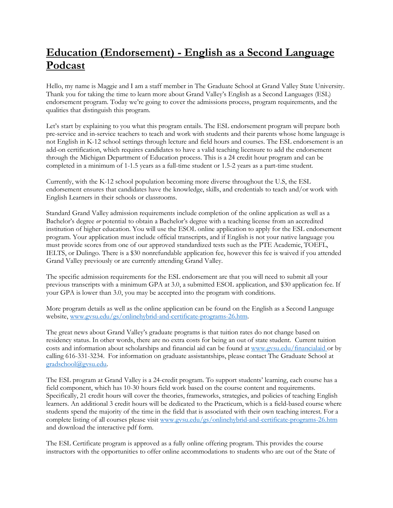## **Education (Endorsement) - English as a Second Language Podcast**

Hello, my name is Maggie and I am a staff member in The Graduate School at Grand Valley State University. Thank you for taking the time to learn more about Grand Valley's English as a Second Languages (ESL) endorsement program. Today we're going to cover the admissions process, program requirements, and the qualities that distinguish this program.

Let's start by explaining to you what this program entails. The ESL endorsement program will prepare both pre-service and in-service teachers to teach and work with students and their parents whose home language is not English in K-12 school settings through lecture and field hours and courses. The ESL endorsement is an add-on certification, which requires candidates to have a valid teaching licensure to add the endorsement through the Michigan Department of Education process. This is a 24 credit hour program and can be completed in a minimum of 1-1.5 years as a full-time student or 1.5-2 years as a part-time student.

Currently, with the K-12 school population becoming more diverse throughout the U.S, the ESL endorsement ensures that candidates have the knowledge, skills, and credentials to teach and/or work with English Learners in their schools or classrooms.

Standard Grand Valley admission requirements include completion of the online application as well as a Bachelor's degree *or* potential to obtain a Bachelor's degree with a teaching license from an accredited institution of higher education. You will use the ESOL online application to apply for the ESL endorsement program. Your application must include official transcripts, and if English is not your native language you must provide scores from one of our approved standardized tests such as the PTE Academic, TOEFL, IELTS, or Dulingo. There is a \$30 nonrefundable application fee, however this fee is waived if you attended Grand Valley previously or are currently attending Grand Valley.

The specific admission requirements for the ESL endorsement are that you will need to submit all your previous transcripts with a minimum GPA at 3.0, a submitted ESOL application, and \$30 application fee. If your GPA is lower than 3.0, you may be accepted into the program with conditions.

More program details as well as the online application can be found on the English as a Second Language website, [www.gvsu.edu/gs/onlinehybrid-and-certificate-programs-26.htm.](https://www.gvsu.edu/gs/onlinehybrid-and-certificate-programs-26.htm)

The great news about Grand Valley's graduate programs is that tuition rates do not change based on residency status. In other words, there are no extra costs for being an out of state student. Current tuition costs and information about scholarships and financial aid can be found at www.gvsu.edu/financialaid or by [calling 616-331-3234.](http://www.gvsu.edu/financialaid%20or%20by%20calling%20616-331-3234) For information on graduate assistantships, please contact The Graduate School at [gradschool@gvsu.edu.](mailto:gradschool@gvsu.edu)

The ESL program at Grand Valley is a 24-credit program. To support students' learning, each course has a field component, which has 10-30 hours field work based on the course content and requirements. Specifically, 21 credit hours will cover the theories, frameworks, strategies, and policies of teaching English learners. An additional 3 credit hours will be dedicated to the Practicum, which is a field-based course where students spend the majority of the time in the field that is associated with their own teaching interest. For a complete listing of all courses please visit [www.gvsu.edu/gs/onlinehybrid-and-certificate-programs-26.htm](http://www.gvsu.edu/gs/onlinehybrid-and-certificate-programs-26.htm) and download the interactive pdf form.

The ESL Certificate program is approved as a fully online offering program. This provides the course instructors with the opportunities to offer online accommodations to students who are out of the State of